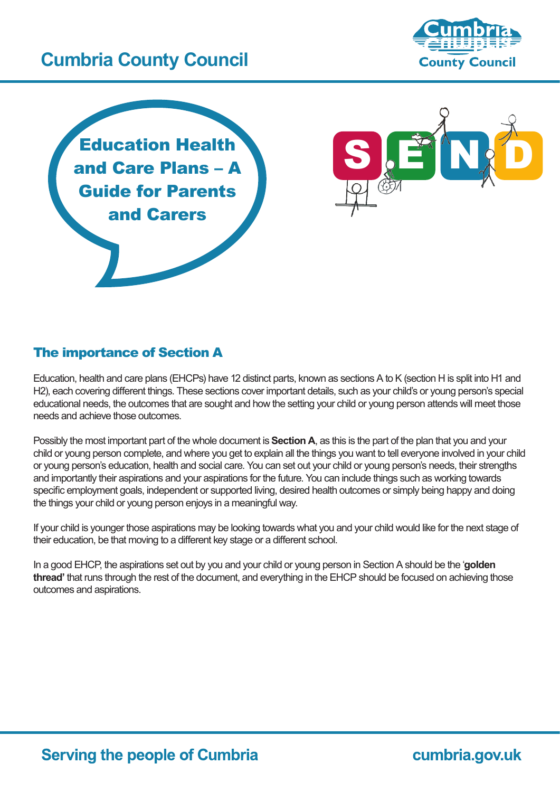

## The importance of Section A

Education, health and care plans (EHCPs) have 12 distinct parts, known as sections A to K (section H is split into H1 and H2), each covering different things. These sections cover important details, such as your child's or young person's special educational needs, the outcomes that are sought and how the setting your child or young person attends will meet those needs and achieve those outcomes.

Possibly the most important part of the whole document is **Section A**, as this is the part of the plan that you and your child or young person complete, and where you get to explain all the things you want to tell everyone involved in your child or young person's education, health and social care. You can set out your child or young person's needs, their strengths and importantly their aspirations and your aspirations for the future. You can include things such as working towards specific employment goals, independent or supported living, desired health outcomes or simply being happy and doing the things your child or young person enjoys in a meaningful way.

If your child is younger those aspirations may be looking towards what you and your child would like for the next stage of their education, be that moving to a different key stage or a different school.

In a good EHCP, the aspirations set out by you and your child or young person in Section A should be the '**golden thread'** that runs through the rest of the document, and everything in the EHCP should be focused on achieving those outcomes and aspirations.